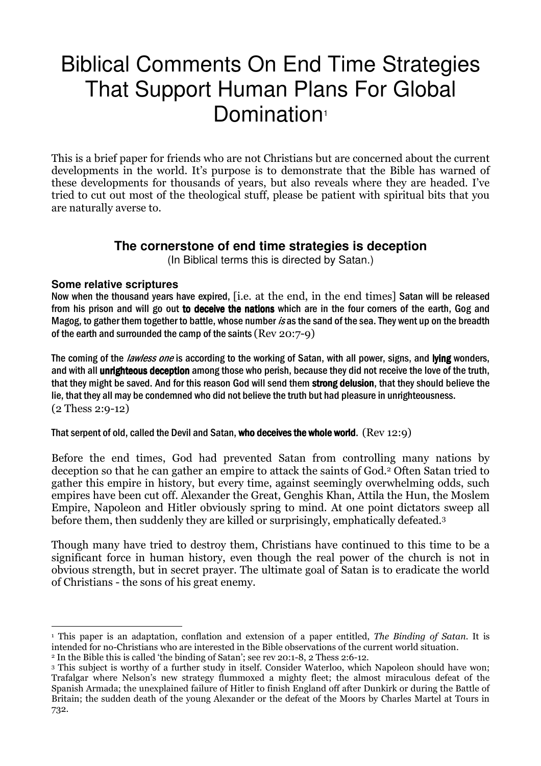# Biblical Comments On End Time Strategies That Support Human Plans For Global Domination<sup>1</sup>

This is a brief paper for friends who are not Christians but are concerned about the current developments in the world. It's purpose is to demonstrate that the Bible has warned of these developments for thousands of years, but also reveals where they are headed. I've tried to cut out most of the theological stuff, please be patient with spiritual bits that you are naturally averse to.

## **The cornerstone of end time strategies is deception**

(In Biblical terms this is directed by Satan.)

#### **Some relative scriptures**

Now when the thousand years have expired, [i.e. at the end, in the end times] Satan will be released from his prison and will go out to deceive the nations which are in the four corners of the earth, Gog and Magog, to gather them together to battle, whose number is as the sand of the sea. They went up on the breadth of the earth and surrounded the camp of the saints (Rev 20:7-9)

The coming of the *lawless one* is according to the working of Satan, with all power, signs, and lying wonders, and with all **unrighteous deception** among those who perish, because they did not receive the love of the truth, that they might be saved. And for this reason God will send them strong delusion, that they should believe the lie, that they all may be condemned who did not believe the truth but had pleasure in unrighteousness. (2 Thess 2:9-12)

That serpent of old, called the Devil and Satan, who deceives the whole world.  $(Rev 12:9)$ 

Before the end times, God had prevented Satan from controlling many nations by deception so that he can gather an empire to attack the saints of God.2 Often Satan tried to gather this empire in history, but every time, against seemingly overwhelming odds, such empires have been cut off. Alexander the Great, Genghis Khan, Attila the Hun, the Moslem Empire, Napoleon and Hitler obviously spring to mind. At one point dictators sweep all before them, then suddenly they are killed or surprisingly, emphatically defeated.<sup>3</sup>

Though many have tried to destroy them, Christians have continued to this time to be a significant force in human history, even though the real power of the church is not in obvious strength, but in secret prayer. The ultimate goal of Satan is to eradicate the world of Christians - the sons of his great enemy.

 $\overline{a}$ <sup>1</sup> This paper is an adaptation, conflation and extension of a paper entitled, *The Binding of Satan*. It is intended for no-Christians who are interested in the Bible observations of the current world situation.

<sup>2</sup> In the Bible this is called 'the binding of Satan'; see rev 20:1-8, 2 Thess 2:6-12.

<sup>3</sup> This subject is worthy of a further study in itself. Consider Waterloo, which Napoleon should have won; Trafalgar where Nelson's new strategy flummoxed a mighty fleet; the almost miraculous defeat of the Spanish Armada; the unexplained failure of Hitler to finish England off after Dunkirk or during the Battle of Britain; the sudden death of the young Alexander or the defeat of the Moors by Charles Martel at Tours in 732.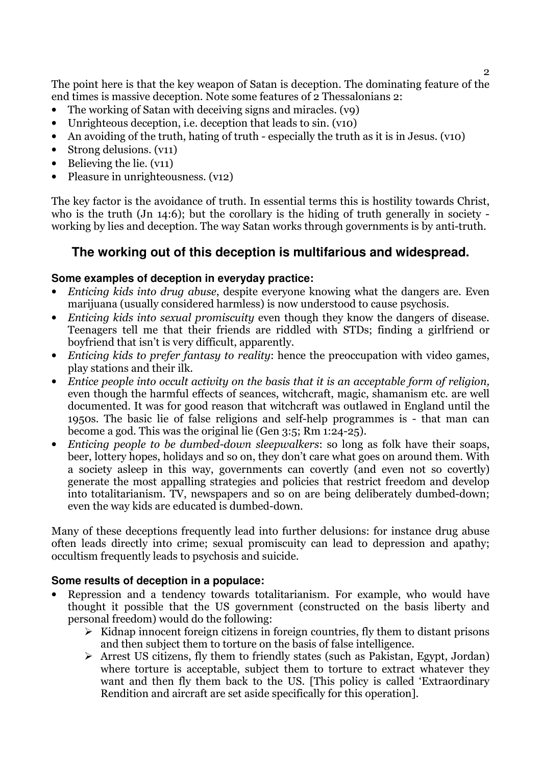The point here is that the key weapon of Satan is deception. The dominating feature of the end times is massive deception. Note some features of 2 Thessalonians 2:

- The working of Satan with deceiving signs and miracles. (v9)
- Unrighteous deception, i.e. deception that leads to sin. (v10)
- An avoiding of the truth, hating of truth especially the truth as it is in Jesus. (v10)
- Strong delusions. (v11)
- Believing the lie.  $(v11)$
- Pleasure in unrighteousness. (v12)

The key factor is the avoidance of truth. In essential terms this is hostility towards Christ, who is the truth (Jn 14:6); but the corollary is the hiding of truth generally in society working by lies and deception. The way Satan works through governments is by anti-truth.

# **The working out of this deception is multifarious and widespread.**

#### **Some examples of deception in everyday practice:**

- Enticing kids into drug abuse, despite everyone knowing what the dangers are. Even marijuana (usually considered harmless) is now understood to cause psychosis.
- Enticing kids into sexual promiscuity even though they know the dangers of disease. Teenagers tell me that their friends are riddled with STDs; finding a girlfriend or boyfriend that isn't is very difficult, apparently.
- Enticing kids to prefer fantasy to reality: hence the preoccupation with video games, play stations and their ilk.
- Entice people into occult activity on the basis that it is an acceptable form of religion, even though the harmful effects of seances, witchcraft, magic, shamanism etc. are well documented. It was for good reason that witchcraft was outlawed in England until the 1950s. The basic lie of false religions and self-help programmes is - that man can become a god. This was the original lie (Gen 3:5; Rm 1:24-25).
- Enticing people to be dumbed-down sleepwalkers: so long as folk have their soaps, beer, lottery hopes, holidays and so on, they don't care what goes on around them. With a society asleep in this way, governments can covertly (and even not so covertly) generate the most appalling strategies and policies that restrict freedom and develop into totalitarianism. TV, newspapers and so on are being deliberately dumbed-down; even the way kids are educated is dumbed-down.

Many of these deceptions frequently lead into further delusions: for instance drug abuse often leads directly into crime; sexual promiscuity can lead to depression and apathy; occultism frequently leads to psychosis and suicide.

#### **Some results of deception in a populace:**

- Repression and a tendency towards totalitarianism. For example, who would have thought it possible that the US government (constructed on the basis liberty and personal freedom) would do the following:
	- $\triangleright$  Kidnap innocent foreign citizens in foreign countries, fly them to distant prisons and then subject them to torture on the basis of false intelligence.
	- $\triangleright$  Arrest US citizens, fly them to friendly states (such as Pakistan, Egypt, Jordan) where torture is acceptable, subject them to torture to extract whatever they want and then fly them back to the US. [This policy is called 'Extraordinary Rendition and aircraft are set aside specifically for this operation].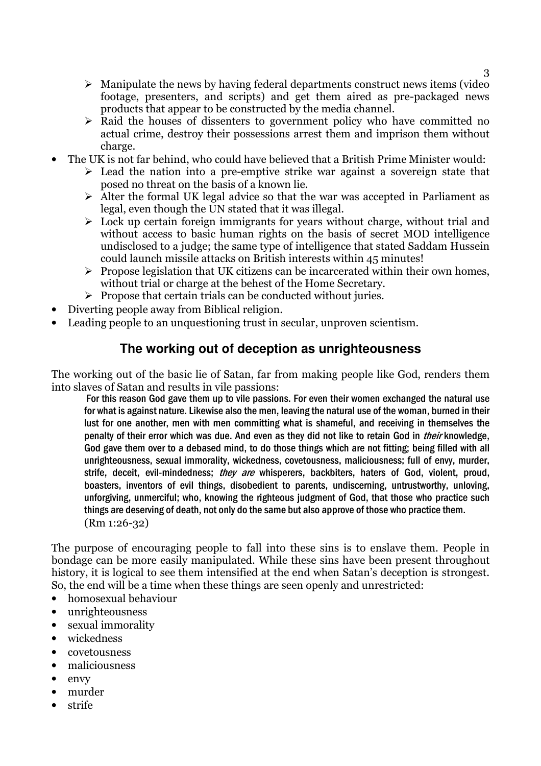- $\triangleright$  Manipulate the news by having federal departments construct news items (video footage, presenters, and scripts) and get them aired as pre-packaged news products that appear to be constructed by the media channel.
- $\triangleright$  Raid the houses of dissenters to government policy who have committed no actual crime, destroy their possessions arrest them and imprison them without charge.
- The UK is not far behind, who could have believed that a British Prime Minister would:
	- $\triangleright$  Lead the nation into a pre-emptive strike war against a sovereign state that posed no threat on the basis of a known lie.
	- $\triangleright$  Alter the formal UK legal advice so that the war was accepted in Parliament as legal, even though the UN stated that it was illegal.
	- $\triangleright$  Lock up certain foreign immigrants for years without charge, without trial and without access to basic human rights on the basis of secret MOD intelligence undisclosed to a judge; the same type of intelligence that stated Saddam Hussein could launch missile attacks on British interests within 45 minutes!
	- $\triangleright$  Propose legislation that UK citizens can be incarcerated within their own homes, without trial or charge at the behest of the Home Secretary.
	- $\triangleright$  Propose that certain trials can be conducted without juries.
- Diverting people away from Biblical religion.
- Leading people to an unquestioning trust in secular, unproven scientism.

## **The working out of deception as unrighteousness**

The working out of the basic lie of Satan, far from making people like God, renders them into slaves of Satan and results in vile passions:

 For this reason God gave them up to vile passions. For even their women exchanged the natural use for what is against nature. Likewise also the men, leaving the natural use of the woman, burned in their lust for one another, men with men committing what is shameful, and receiving in themselves the penalty of their error which was due. And even as they did not like to retain God in *their* knowledge, God gave them over to a debased mind, to do those things which are not fitting; being filled with all unrighteousness, sexual immorality, wickedness, covetousness, maliciousness; full of envy, murder, strife, deceit, evil-mindedness; they are whisperers, backbiters, haters of God, violent, proud, boasters, inventors of evil things, disobedient to parents, undiscerning, untrustworthy, unloving, unforgiving, unmerciful; who, knowing the righteous judgment of God, that those who practice such things are deserving of death, not only do the same but also approve of those who practice them. (Rm 1:26-32)

The purpose of encouraging people to fall into these sins is to enslave them. People in bondage can be more easily manipulated. While these sins have been present throughout history, it is logical to see them intensified at the end when Satan's deception is strongest. So, the end will be a time when these things are seen openly and unrestricted:

- homosexual behaviour
- unrighteousness
- sexual immorality
- wickedness
- covetousness
- maliciousness
- envy
- murder
- strife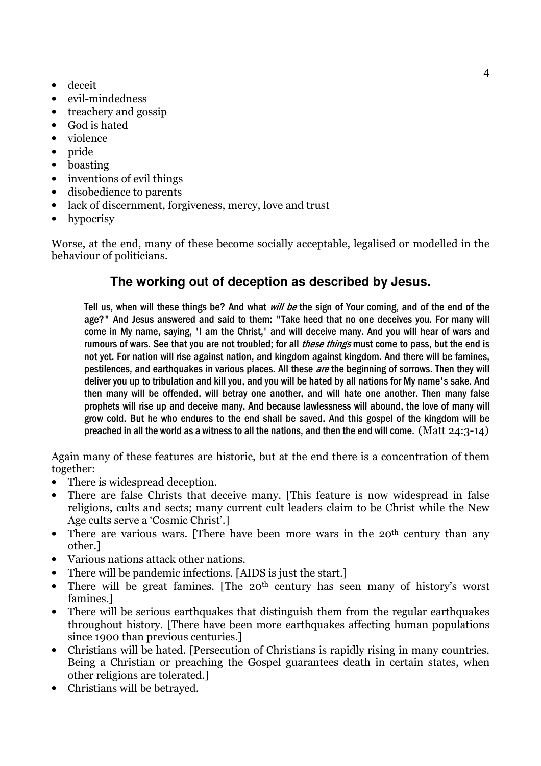- deceit
- evil-mindedness
- treachery and gossip
- God is hated
- violence
- pride
- boasting
- inventions of evil things
- disobedience to parents
- lack of discernment, forgiveness, mercy, love and trust
- hypocrisy

Worse, at the end, many of these become socially acceptable, legalised or modelled in the behaviour of politicians.

# **The working out of deception as described by Jesus.**

Tell us, when will these things be? And what *will be* the sign of Your coming, and of the end of the age?" And Jesus answered and said to them: "Take heed that no one deceives you. For many will come in My name, saying, 'I am the Christ,' and will deceive many. And you will hear of wars and rumours of wars. See that you are not troubled: for all *these things* must come to pass, but the end is not yet. For nation will rise against nation, and kingdom against kingdom. And there will be famines, pestilences, and earthquakes in various places. All these are the beginning of sorrows. Then they will deliver you up to tribulation and kill you, and you will be hated by all nations for My name's sake. And then many will be offended, will betray one another, and will hate one another. Then many false prophets will rise up and deceive many. And because lawlessness will abound, the love of many will grow cold. But he who endures to the end shall be saved. And this gospel of the kingdom will be preached in all the world as a witness to all the nations, and then the end will come. (Matt 24:3-14)

Again many of these features are historic, but at the end there is a concentration of them together:

- There is widespread deception.
- There are false Christs that deceive many. [This feature is now widespread in false religions, cults and sects; many current cult leaders claim to be Christ while the New Age cults serve a 'Cosmic Christ'.]
- There are various wars. [There have been more wars in the 20<sup>th</sup> century than any other.]
- Various nations attack other nations.
- There will be pandemic infections. [AIDS is just the start.]
- There will be great famines. [The 20<sup>th</sup> century has seen many of history's worst famines.]
- There will be serious earthquakes that distinguish them from the regular earthquakes throughout history. [There have been more earthquakes affecting human populations since 1900 than previous centuries.]
- Christians will be hated. [Persecution of Christians is rapidly rising in many countries. Being a Christian or preaching the Gospel guarantees death in certain states, when other religions are tolerated.]
- Christians will be betrayed.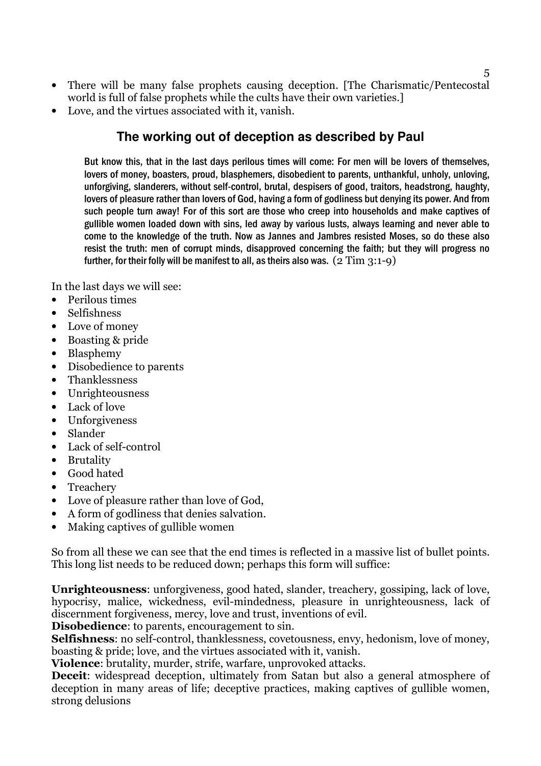- There will be many false prophets causing deception. [The Charismatic/Pentecostal world is full of false prophets while the cults have their own varieties.]
- Love, and the virtues associated with it, vanish.

## **The working out of deception as described by Paul**

But know this, that in the last days perilous times will come: For men will be lovers of themselves, lovers of money, boasters, proud, blasphemers, disobedient to parents, unthankful, unholy, unloving, unforgiving, slanderers, without self-control, brutal, despisers of good, traitors, headstrong, haughty, lovers of pleasure rather than lovers of God, having a form of godliness but denying its power. And from such people turn away! For of this sort are those who creep into households and make captives of gullible women loaded down with sins, led away by various lusts, always learning and never able to come to the knowledge of the truth. Now as Jannes and Jambres resisted Moses, so do these also resist the truth: men of corrupt minds, disapproved concerning the faith; but they will progress no further, for their folly will be manifest to all, as theirs also was.  $(2 \text{ Tim } 3:1-9)$ 

In the last days we will see:

- Perilous times
- Selfishness
- Love of money
- Boasting & pride
- Blasphemy
- Disobedience to parents
- Thanklessness
- Unrighteousness
- Lack of love
- Unforgiveness
- Slander
- Lack of self-control
- Brutality
- Good hated
- Treachery
- Love of pleasure rather than love of God,
- A form of godliness that denies salvation.
- Making captives of gullible women

So from all these we can see that the end times is reflected in a massive list of bullet points. This long list needs to be reduced down; perhaps this form will suffice:

Unrighteousness: unforgiveness, good hated, slander, treachery, gossiping, lack of love, hypocrisy, malice, wickedness, evil-mindedness, pleasure in unrighteousness, lack of discernment forgiveness, mercy, love and trust, inventions of evil.

Disobedience: to parents, encouragement to sin.

Selfishness: no self-control, thanklessness, covetousness, envy, hedonism, love of money, boasting & pride; love, and the virtues associated with it, vanish.

Violence: brutality, murder, strife, warfare, unprovoked attacks.

Deceit: widespread deception, ultimately from Satan but also a general atmosphere of deception in many areas of life; deceptive practices, making captives of gullible women, strong delusions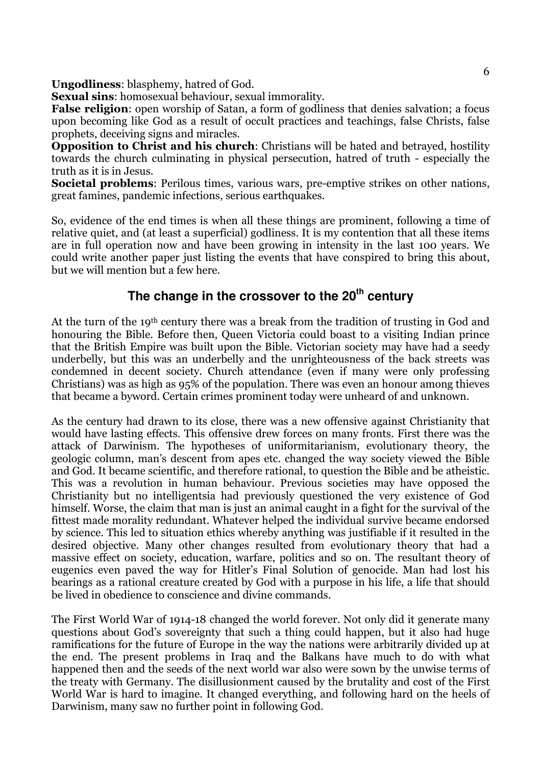Ungodliness: blasphemy, hatred of God.

Sexual sins: homosexual behaviour, sexual immorality.

False religion: open worship of Satan, a form of godliness that denies salvation; a focus upon becoming like God as a result of occult practices and teachings, false Christs, false prophets, deceiving signs and miracles.

Opposition to Christ and his church: Christians will be hated and betrayed, hostility towards the church culminating in physical persecution, hatred of truth - especially the truth as it is in Jesus.

Societal problems: Perilous times, various wars, pre-emptive strikes on other nations, great famines, pandemic infections, serious earthquakes.

So, evidence of the end times is when all these things are prominent, following a time of relative quiet, and (at least a superficial) godliness. It is my contention that all these items are in full operation now and have been growing in intensity in the last 100 years. We could write another paper just listing the events that have conspired to bring this about, but we will mention but a few here.

# **The change in the crossover to the 20th century**

At the turn of the 19<sup>th</sup> century there was a break from the tradition of trusting in God and honouring the Bible. Before then, Queen Victoria could boast to a visiting Indian prince that the British Empire was built upon the Bible. Victorian society may have had a seedy underbelly, but this was an underbelly and the unrighteousness of the back streets was condemned in decent society. Church attendance (even if many were only professing Christians) was as high as 95% of the population. There was even an honour among thieves that became a byword. Certain crimes prominent today were unheard of and unknown.

As the century had drawn to its close, there was a new offensive against Christianity that would have lasting effects. This offensive drew forces on many fronts. First there was the attack of Darwinism. The hypotheses of uniformitarianism, evolutionary theory, the geologic column, man's descent from apes etc. changed the way society viewed the Bible and God. It became scientific, and therefore rational, to question the Bible and be atheistic. This was a revolution in human behaviour. Previous societies may have opposed the Christianity but no intelligentsia had previously questioned the very existence of God himself. Worse, the claim that man is just an animal caught in a fight for the survival of the fittest made morality redundant. Whatever helped the individual survive became endorsed by science. This led to situation ethics whereby anything was justifiable if it resulted in the desired objective. Many other changes resulted from evolutionary theory that had a massive effect on society, education, warfare, politics and so on. The resultant theory of eugenics even paved the way for Hitler's Final Solution of genocide. Man had lost his bearings as a rational creature created by God with a purpose in his life, a life that should be lived in obedience to conscience and divine commands.

The First World War of 1914-18 changed the world forever. Not only did it generate many questions about God's sovereignty that such a thing could happen, but it also had huge ramifications for the future of Europe in the way the nations were arbitrarily divided up at the end. The present problems in Iraq and the Balkans have much to do with what happened then and the seeds of the next world war also were sown by the unwise terms of the treaty with Germany. The disillusionment caused by the brutality and cost of the First World War is hard to imagine. It changed everything, and following hard on the heels of Darwinism, many saw no further point in following God.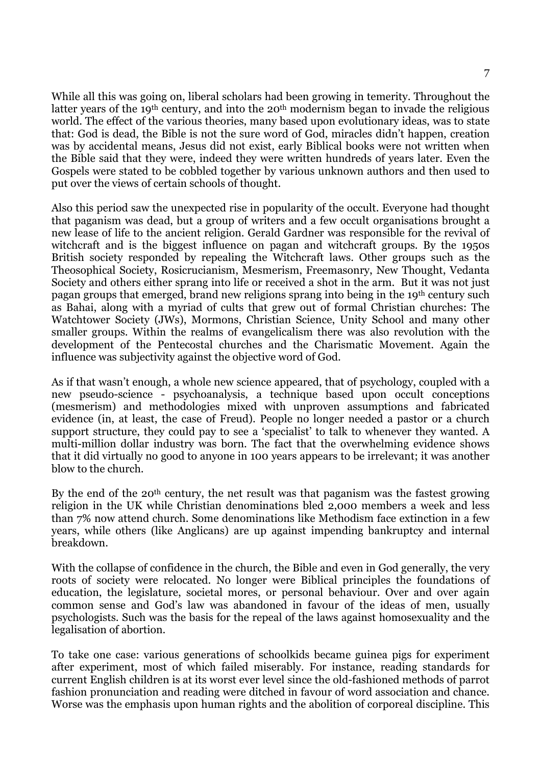While all this was going on, liberal scholars had been growing in temerity. Throughout the latter years of the 19<sup>th</sup> century, and into the 20<sup>th</sup> modernism began to invade the religious world. The effect of the various theories, many based upon evolutionary ideas, was to state that: God is dead, the Bible is not the sure word of God, miracles didn't happen, creation was by accidental means, Jesus did not exist, early Biblical books were not written when the Bible said that they were, indeed they were written hundreds of years later. Even the Gospels were stated to be cobbled together by various unknown authors and then used to put over the views of certain schools of thought.

Also this period saw the unexpected rise in popularity of the occult. Everyone had thought that paganism was dead, but a group of writers and a few occult organisations brought a new lease of life to the ancient religion. Gerald Gardner was responsible for the revival of witchcraft and is the biggest influence on pagan and witchcraft groups. By the 1950s British society responded by repealing the Witchcraft laws. Other groups such as the Theosophical Society, Rosicrucianism, Mesmerism, Freemasonry, New Thought, Vedanta Society and others either sprang into life or received a shot in the arm. But it was not just pagan groups that emerged, brand new religions sprang into being in the 19th century such as Bahai, along with a myriad of cults that grew out of formal Christian churches: The Watchtower Society (JWs), Mormons, Christian Science, Unity School and many other smaller groups. Within the realms of evangelicalism there was also revolution with the development of the Pentecostal churches and the Charismatic Movement. Again the influence was subjectivity against the objective word of God.

As if that wasn't enough, a whole new science appeared, that of psychology, coupled with a new pseudo-science - psychoanalysis, a technique based upon occult conceptions (mesmerism) and methodologies mixed with unproven assumptions and fabricated evidence (in, at least, the case of Freud). People no longer needed a pastor or a church support structure, they could pay to see a 'specialist' to talk to whenever they wanted. A multi-million dollar industry was born. The fact that the overwhelming evidence shows that it did virtually no good to anyone in 100 years appears to be irrelevant; it was another blow to the church.

By the end of the 20<sup>th</sup> century, the net result was that paganism was the fastest growing religion in the UK while Christian denominations bled 2,000 members a week and less than 7% now attend church. Some denominations like Methodism face extinction in a few years, while others (like Anglicans) are up against impending bankruptcy and internal breakdown.

With the collapse of confidence in the church, the Bible and even in God generally, the very roots of society were relocated. No longer were Biblical principles the foundations of education, the legislature, societal mores, or personal behaviour. Over and over again common sense and God's law was abandoned in favour of the ideas of men, usually psychologists. Such was the basis for the repeal of the laws against homosexuality and the legalisation of abortion.

To take one case: various generations of schoolkids became guinea pigs for experiment after experiment, most of which failed miserably. For instance, reading standards for current English children is at its worst ever level since the old-fashioned methods of parrot fashion pronunciation and reading were ditched in favour of word association and chance. Worse was the emphasis upon human rights and the abolition of corporeal discipline. This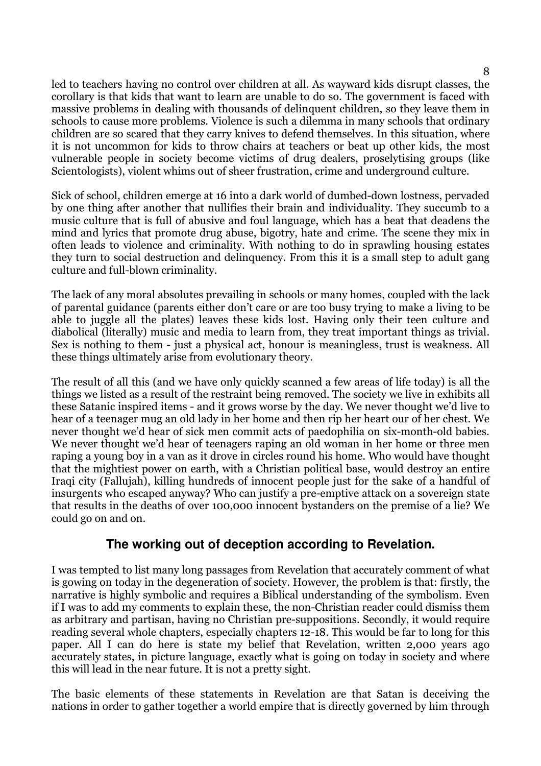led to teachers having no control over children at all. As wayward kids disrupt classes, the corollary is that kids that want to learn are unable to do so. The government is faced with massive problems in dealing with thousands of delinquent children, so they leave them in schools to cause more problems. Violence is such a dilemma in many schools that ordinary children are so scared that they carry knives to defend themselves. In this situation, where it is not uncommon for kids to throw chairs at teachers or beat up other kids, the most vulnerable people in society become victims of drug dealers, proselytising groups (like Scientologists), violent whims out of sheer frustration, crime and underground culture.

Sick of school, children emerge at 16 into a dark world of dumbed-down lostness, pervaded by one thing after another that nullifies their brain and individuality. They succumb to a music culture that is full of abusive and foul language, which has a beat that deadens the mind and lyrics that promote drug abuse, bigotry, hate and crime. The scene they mix in often leads to violence and criminality. With nothing to do in sprawling housing estates they turn to social destruction and delinquency. From this it is a small step to adult gang culture and full-blown criminality.

The lack of any moral absolutes prevailing in schools or many homes, coupled with the lack of parental guidance (parents either don't care or are too busy trying to make a living to be able to juggle all the plates) leaves these kids lost. Having only their teen culture and diabolical (literally) music and media to learn from, they treat important things as trivial. Sex is nothing to them - just a physical act, honour is meaningless, trust is weakness. All these things ultimately arise from evolutionary theory.

The result of all this (and we have only quickly scanned a few areas of life today) is all the things we listed as a result of the restraint being removed. The society we live in exhibits all these Satanic inspired items - and it grows worse by the day. We never thought we'd live to hear of a teenager mug an old lady in her home and then rip her heart our of her chest. We never thought we'd hear of sick men commit acts of paedophilia on six-month-old babies. We never thought we'd hear of teenagers raping an old woman in her home or three men raping a young boy in a van as it drove in circles round his home. Who would have thought that the mightiest power on earth, with a Christian political base, would destroy an entire Iraqi city (Fallujah), killing hundreds of innocent people just for the sake of a handful of insurgents who escaped anyway? Who can justify a pre-emptive attack on a sovereign state that results in the deaths of over 100,000 innocent bystanders on the premise of a lie? We could go on and on.

## **The working out of deception according to Revelation.**

I was tempted to list many long passages from Revelation that accurately comment of what is gowing on today in the degeneration of society. However, the problem is that: firstly, the narrative is highly symbolic and requires a Biblical understanding of the symbolism. Even if I was to add my comments to explain these, the non-Christian reader could dismiss them as arbitrary and partisan, having no Christian pre-suppositions. Secondly, it would require reading several whole chapters, especially chapters 12-18. This would be far to long for this paper. All I can do here is state my belief that Revelation, written 2,000 years ago accurately states, in picture language, exactly what is going on today in society and where this will lead in the near future. It is not a pretty sight.

The basic elements of these statements in Revelation are that Satan is deceiving the nations in order to gather together a world empire that is directly governed by him through